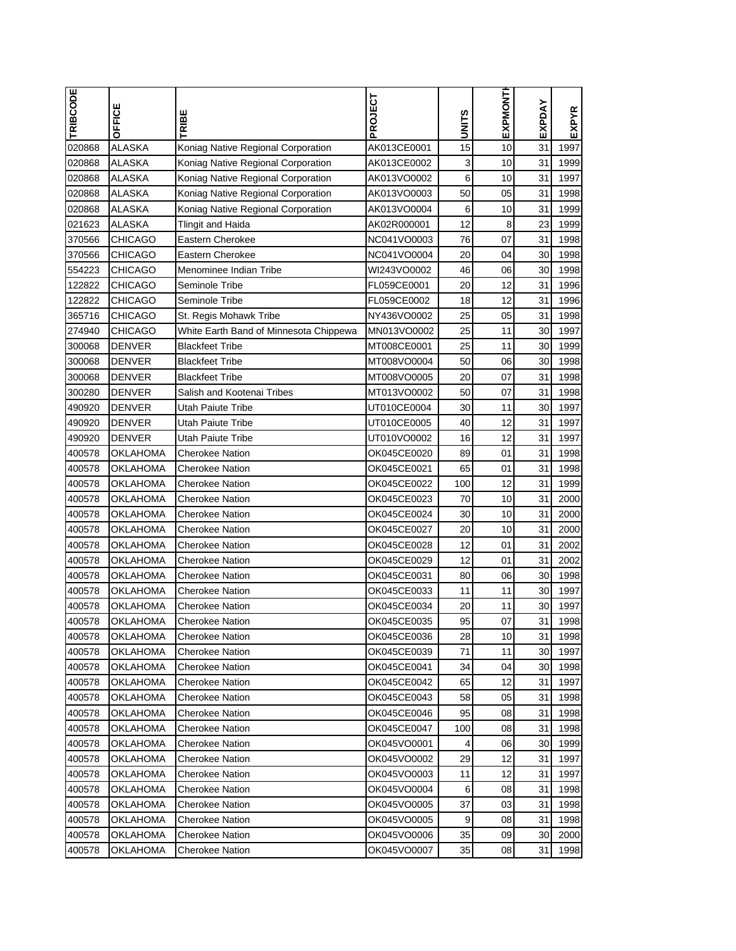| <b>TRIBCODE</b>  | OFFICE          | TRIBE                                  | PROJECT     | n<br>Ë<br>3  | EXPMONTI | EXPDAY | EXPYR |
|------------------|-----------------|----------------------------------------|-------------|--------------|----------|--------|-------|
| 020868           | ALASKA          | Koniag Native Regional Corporation     | AK013CE0001 | 15           | 10       | 31     | 1997  |
| 020868           | <b>ALASKA</b>   | Koniag Native Regional Corporation     | AK013CE0002 | $\mathbf{3}$ | 10       | 31     | 1999  |
| 020868           | <b>ALASKA</b>   | Koniag Native Regional Corporation     | AK013VO0002 | $\mathbf 6$  | 10       | 31     | 1997  |
| 020868           | <b>ALASKA</b>   | Koniag Native Regional Corporation     | AK013VO0003 | 50           | 05       | 31     | 1998  |
| 020868           | <b>ALASKA</b>   | Koniag Native Regional Corporation     | AK013VO0004 | 6            | 10       | 31     | 1999  |
| 021623           | <b>ALASKA</b>   | <b>Tlingit and Haida</b>               | AK02R000001 | 12           | 8        | 23     | 1999  |
| 370566           | <b>CHICAGO</b>  | Eastern Cherokee                       | NC041VO0003 | 76           | 07       | 31     | 1998  |
| 370566           | <b>CHICAGO</b>  | Eastern Cherokee                       | NC041VO0004 | 20           | 04       | 30     | 1998  |
| 554223           | CHICAGO         | Menominee Indian Tribe                 | WI243VO0002 | 46           | 06       | 30     | 1998  |
| 122822           | <b>CHICAGO</b>  | Seminole Tribe                         | FL059CE0001 | 20           | 12       | 31     | 1996  |
| 122822           | <b>CHICAGO</b>  | Seminole Tribe                         | FL059CE0002 | 18           | 12       | 31     | 1996  |
| 365716           | CHICAGO         | St. Regis Mohawk Tribe                 | NY436VO0002 | 25           | 05       | 31     | 1998  |
| 274940           | CHICAGO         | White Earth Band of Minnesota Chippewa | MN013VO0002 | 25           | 11       | 30     | 1997  |
| 300068           | <b>DENVER</b>   | <b>Blackfeet Tribe</b>                 | MT008CE0001 | 25           | 11       | 30     | 1999  |
| 300068           | <b>DENVER</b>   | <b>Blackfeet Tribe</b>                 | MT008VO0004 | 50           | 06       | 30     | 1998  |
| 300068           | <b>DENVER</b>   | <b>Blackfeet Tribe</b>                 | MT008VO0005 | 20           | 07       | 31     | 1998  |
| 300280           | <b>DENVER</b>   | Salish and Kootenai Tribes             | MT013VO0002 | 50           | 07       | 31     | 1998  |
| 490920           | <b>DENVER</b>   | Utah Paiute Tribe                      | UT010CE0004 | 30           | 11       | 30     | 1997  |
| 490920           | <b>DENVER</b>   | Utah Paiute Tribe                      | UT010CE0005 | 40           | 12       | 31     | 1997  |
| 490920           | <b>DENVER</b>   | Utah Paiute Tribe                      | UT010VO0002 | 16           | 12       | 31     | 1997  |
| 400578           | OKLAHOMA        | <b>Cherokee Nation</b>                 | OK045CE0020 | 89           | 01       | 31     | 1998  |
| 400578           | OKLAHOMA        | <b>Cherokee Nation</b>                 | OK045CE0021 | 65           | 01       | 31     | 1998  |
| 400578           | OKLAHOMA        | <b>Cherokee Nation</b>                 | OK045CE0022 | 100          | 12       | 31     | 1999  |
| 400578           | <b>OKLAHOMA</b> | <b>Cherokee Nation</b>                 | OK045CE0023 | 70           | 10       | 31     | 2000  |
|                  | OKLAHOMA        |                                        | OK045CE0024 | 30           | 10       | 31     | 2000  |
| 400578<br>400578 | OKLAHOMA        | <b>Cherokee Nation</b>                 | OK045CE0027 | 20           | 10       | 31     | 2000  |
|                  |                 | Cherokee Nation                        |             | 12           |          |        |       |
| 400578           | OKLAHOMA        | <b>Cherokee Nation</b>                 | OK045CE0028 |              | 01       | 31     | 2002  |
| 400578           | <b>OKLAHOMA</b> | <b>Cherokee Nation</b>                 | OK045CE0029 | 12           | 01       | 31     | 2002  |
| 400578           | OKLAHOMA        | Cherokee Nation                        | OK045CE0031 | 80           | 06       | 30     | 1998  |
| 400578           | OKLAHOMA        | Cherokee Nation                        | OK045CE0033 | 11           | 11       | 30     | 1997  |
| 400578           | <b>OKLAHOMA</b> | <b>Cherokee Nation</b>                 | OK045CE0034 | 20           | 11       | 30     | 1997  |
| 400578           | OKLAHOMA        | <b>Cherokee Nation</b>                 | OK045CE0035 | 95           | 07       | 31     | 1998  |
| 400578           | OKLAHOMA        | <b>Cherokee Nation</b>                 | OK045CE0036 | 28           | 10       | 31     | 1998  |
| 400578           | OKLAHOMA        | Cherokee Nation                        | OK045CE0039 | 71           | 11       | 30     | 1997  |
| 400578           | OKLAHOMA        | Cherokee Nation                        | OK045CE0041 | 34           | 04       | 30     | 1998  |
| 400578           | OKLAHOMA        | <b>Cherokee Nation</b>                 | OK045CE0042 | 65           | 12       | 31     | 1997  |
| 400578           | OKLAHOMA        | Cherokee Nation                        | OK045CE0043 | 58           | 05       | 31     | 1998  |
| 400578           | OKLAHOMA        | <b>Cherokee Nation</b>                 | OK045CE0046 | 95           | 08       | 31     | 1998  |
| 400578           | OKLAHOMA        | Cherokee Nation                        | OK045CE0047 | 100          | 08       | 31     | 1998  |
| 400578           | <b>OKLAHOMA</b> | <b>Cherokee Nation</b>                 | OK045VO0001 | 4            | 06       | 30     | 1999  |
| 400578           | OKLAHOMA        | <b>Cherokee Nation</b>                 | OK045VO0002 | 29           | 12       | 31     | 1997  |
| 400578           | OKLAHOMA        | <b>Cherokee Nation</b>                 | OK045VO0003 | 11           | 12       | 31     | 1997  |
| 400578           | OKLAHOMA        | Cherokee Nation                        | OK045VO0004 | 6            | 08       | 31     | 1998  |
| 400578           | OKLAHOMA        | <b>Cherokee Nation</b>                 | OK045VO0005 | 37           | 03       | 31     | 1998  |
| 400578           | OKLAHOMA        | Cherokee Nation                        | OK045VO0005 | 9            | 08       | 31     | 1998  |
| 400578           | OKLAHOMA        | Cherokee Nation                        | OK045VO0006 | 35           | 09       | 30     | 2000  |
| 400578           | OKLAHOMA        | Cherokee Nation                        | OK045VO0007 | 35           | 08       | 31     | 1998  |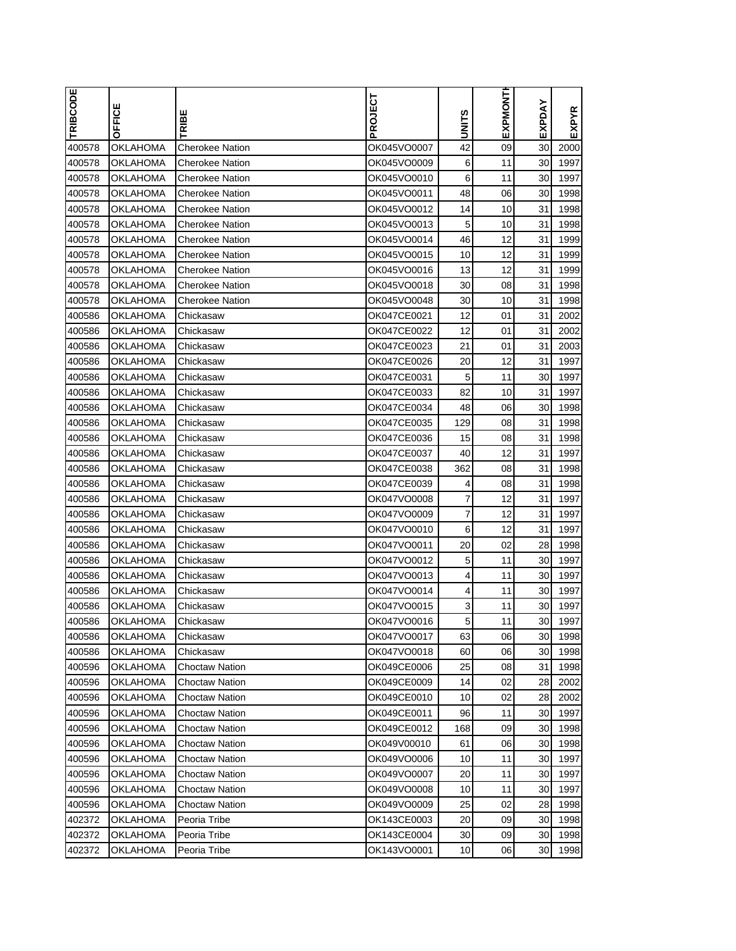| <b>TRIBCODE</b> | OFFICE          | TRIBE                  | PROJECT     | <b>UNITS</b> | EXPMONTH | EXPDAY | <b>EXPYR</b> |
|-----------------|-----------------|------------------------|-------------|--------------|----------|--------|--------------|
| 400578          | OKLAHOMA        | <b>Cherokee Nation</b> | OK045VO0007 | 42           | 09       | 30     | 2000         |
| 400578          | OKLAHOMA        | Cherokee Nation        | OK045VO0009 | 6            | 11       | 30     | 1997         |
| 400578          | OKLAHOMA        | Cherokee Nation        | OK045VO0010 | 6            | 11       | 30     | 1997         |
| 400578          | <b>OKLAHOMA</b> | Cherokee Nation        | OK045VO0011 | 48           | 06       | 30     | 1998         |
| 400578          | OKLAHOMA        | Cherokee Nation        | OK045VO0012 | 14           | 10       | 31     | 1998         |
| 400578          | OKLAHOMA        | Cherokee Nation        | OK045VO0013 | 5            | 10       | 31     | 1998         |
| 400578          | <b>OKLAHOMA</b> | <b>Cherokee Nation</b> | OK045VO0014 | 46           | 12       | 31     | 1999         |
| 400578          | OKLAHOMA        | <b>Cherokee Nation</b> | OK045VO0015 | 10           | 12       | 31     | 1999         |
| 400578          | OKLAHOMA        | Cherokee Nation        | OK045VO0016 | 13           | 12       | 31     | 1999         |
| 400578          | OKLAHOMA        | Cherokee Nation        | OK045VO0018 | 30           | 08       | 31     | 1998         |
| 400578          | OKLAHOMA        | Cherokee Nation        | OK045VO0048 | 30           | 10       | 31     | 1998         |
| 400586          | OKLAHOMA        | Chickasaw              | OK047CE0021 | 12           | 01       | 31     | 2002         |
| 400586          | OKLAHOMA        | Chickasaw              | OK047CE0022 | 12           | 01       | 31     | 2002         |
| 400586          | OKLAHOMA        | Chickasaw              | OK047CE0023 | 21           | 01       | 31     | 2003         |
| 400586          | OKLAHOMA        | Chickasaw              | OK047CE0026 | 20           | 12       | 31     | 1997         |
| 400586          | <b>OKLAHOMA</b> | Chickasaw              | OK047CE0031 | 5            | 11       | 30     | 1997         |
| 400586          | OKLAHOMA        | Chickasaw              | OK047CE0033 | 82           | 10       | 31     | 1997         |
| 400586          | OKLAHOMA        | Chickasaw              | OK047CE0034 | 48           | 06       | 30     | 1998         |
| 400586          | OKLAHOMA        | Chickasaw              | OK047CE0035 | 129          | 08       | 31     | 1998         |
| 400586          | OKLAHOMA        | Chickasaw              | OK047CE0036 | 15           | 08       | 31     | 1998         |
| 400586          | OKLAHOMA        | Chickasaw              | OK047CE0037 | 40           | 12       | 31     | 1997         |
| 400586          | OKLAHOMA        | Chickasaw              | OK047CE0038 | 362          | 08       | 31     | 1998         |
| 400586          | OKLAHOMA        | Chickasaw              | OK047CE0039 | 4            | 08       | 31     | 1998         |
| 400586          | OKLAHOMA        | Chickasaw              | OK047VO0008 | 7            | 12       | 31     | 1997         |
| 400586          | <b>OKLAHOMA</b> | Chickasaw              | OK047VO0009 | 7            | 12       | 31     | 1997         |
| 400586          | OKLAHOMA        | Chickasaw              | OK047VO0010 | 6            | 12       | 31     | 1997         |
| 400586          | OKLAHOMA        | Chickasaw              | OK047VO0011 | 20           | 02       | 28     | 1998         |
| 400586          | OKLAHOMA        | Chickasaw              | OK047VO0012 | 5            | 11       | 30     | 1997         |
| 400586          | <b>OKLAHOMA</b> | Chickasaw              | OK047VO0013 | 4            | 11       | 30     | 1997         |
| 400586          | OKLAHOMA        | Chickasaw              | OK047VO0014 | 4            | 11       | 30     | 1997         |
| 400586          | <b>OKLAHOMA</b> | Chickasaw              | OK047VO0015 | 3            | 11       | 30     | 1997         |
| 400586          | <b>OKLAHOMA</b> | Chickasaw              | OK047VO0016 | 5            | 11       | 30     | 1997         |
| 400586          | <b>OKLAHOMA</b> | Chickasaw              | OK047VO0017 | 63           | 06       | 30     | 1998         |
| 400586          | OKLAHOMA        | Chickasaw              | OK047VO0018 | 60           | 06       | 30     | 1998         |
| 400596          | <b>OKLAHOMA</b> | <b>Choctaw Nation</b>  | OK049CE0006 | 25           | 08       | 31     | 1998         |
| 400596          | <b>OKLAHOMA</b> | Choctaw Nation         | OK049CE0009 | 14           | 02       | 28     | 2002         |
| 400596          | <b>OKLAHOMA</b> | Choctaw Nation         | OK049CE0010 | 10           | 02       | 28     | 2002         |
| 400596          | OKLAHOMA        | Choctaw Nation         | OK049CE0011 | 96           | 11       | 30     | 1997         |
| 400596          | <b>OKLAHOMA</b> | <b>Choctaw Nation</b>  | OK049CE0012 | 168          | 09       | 30     | 1998         |
| 400596          | <b>OKLAHOMA</b> | <b>Choctaw Nation</b>  | OK049V00010 | 61           | 06       | 30     | 1998         |
| 400596          | <b>OKLAHOMA</b> | <b>Choctaw Nation</b>  | OK049VO0006 | 10           | 11       | 30     | 1997         |
| 400596          | OKLAHOMA        | Choctaw Nation         | OK049VO0007 | 20           | 11       | 30     | 1997         |
| 400596          | OKLAHOMA        | Choctaw Nation         | OK049VO0008 | 10           | 11       | 30     | 1997         |
| 400596          | <b>OKLAHOMA</b> | Choctaw Nation         | OK049VO0009 | 25           | 02       | 28     | 1998         |
| 402372          | OKLAHOMA        | Peoria Tribe           | OK143CE0003 | 20           | 09       | 30     | 1998         |
| 402372          | OKLAHOMA        | Peoria Tribe           | OK143CE0004 | 30           | 09       | 30     | 1998         |
| 402372          | <b>OKLAHOMA</b> | Peoria Tribe           | OK143VO0001 | 10           | 06       | 30     | 1998         |